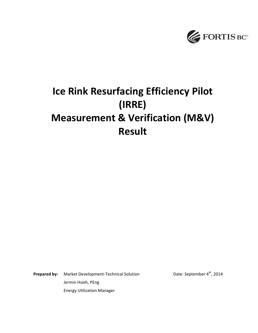

# **Ice Rink Resurfacing Efficiency Pilot (IRRE) Measurement & Verification (M&V) Result**

**Prepared by:** Market Development-Technical Solution Date: September 4<sup>th</sup>, 2014 Jermin Hsieh, PEng Energy Utilization Manager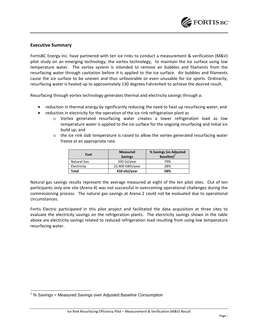

## **Executive Summary**

FortisBC Energy Inc. have partnered with ten ice rinks to conduct a measurement & verification (M&V) pilot study on an emerging technology, the vortex technology, to maintain the ice surface using low temperature water. The vortex system is intended to remove air bubbles and filaments from the resurfacing water through cavitation before it is applied to the ice surface. Air bubbles and filaments cause the ice surface to be uneven and thus unfavorable or even unusable for ice sports. Ordinarily, resurfacing water is heated up to approximately 130 degrees Fahrenheit to achieve the desired result.

Resurfacing through vortex technology generates thermal and electricity savings through a:

- reduction in thermal energy by significantly reducing the need to heat up resurfacing water; and
- reduction in electricity for the operation of the ice rink refrigeration plant as
	- o Vortex generated resurfacing water creates a lower refrigeration load as low temperature water is applied to the ice surface for the ongoing resurfacing and initial ice build up; and
	- $\circ$  the ice rink slab temperature is raised to allow the vortex generated resurfacing water freeze at an appropriate rate.

| Fuel        | <b>Measured</b><br><b>Savings</b> | % Savings (vs Adjusted<br>Baseline) <sup>1</sup> |
|-------------|-----------------------------------|--------------------------------------------------|
| Natural Gas | 330 GJ/year                       | 79%                                              |
| Electricity | 22,400 kWh/year                   | 28%                                              |
| Total       | 410 eGJ/year                      | 58%                                              |

Natural gas savings results represent the average measured at eight of the ten pilot sites. Out of ten participants only one site (Arena 4) was not successful in overcoming operational challenges during the commissioning process. The natural gas savings at Arena 2 could not be evaluated due to operational circumstances.

Fortis Electric participated in this pilot project and facilitated the data acquisition at three sites to evaluate the electricity savings on the refrigeration plants. The electricity savings shown in the table above are electricity savings related to reduced refrigeration load resulting from using low temperature resurfacing water.

 $1\%$  Savings = Measured Savings over Adjusted Baseline Consumption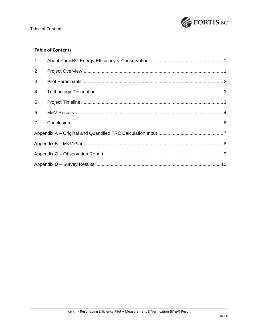

## **Table of Contents**

| $\mathbf{1}$   |  |
|----------------|--|
| 2              |  |
| 3              |  |
| $\overline{4}$ |  |
| 5              |  |
| 6              |  |
| $\overline{7}$ |  |
|                |  |
|                |  |
|                |  |
|                |  |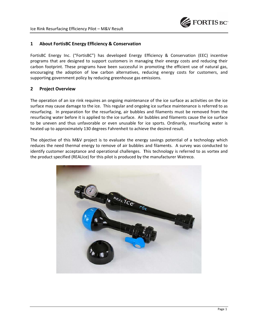

#### $\mathbf{1}$ **About FortisBC Energy Efficiency & Conservation**

FortisBC Energy Inc. ("FortisBC") has developed Energy Efficiency & Conservation (EEC) incentive programs that are designed to support customers in managing their energy costs and reducing their carbon footprint. These programs have been successful in promoting the efficient use of natural gas, encouraging the adoption of low carbon alternatives, reducing energy costs for customers, and supporting government policy by reducing greenhouse gas emissions.

#### $\overline{2}$ **Project Overview**

The operation of an ice rink requires an ongoing maintenance of the ice surface as activities on the ice surface may cause damage to the ice. This regular and ongoing ice surface maintenance is referred to as resurfacing. In preparation for the resurfacing, air bubbles and filaments must be removed from the resurfacing water before it is applied to the ice surface. Air bubbles and filaments cause the ice surface to be uneven and thus unfavorable or even unusable for ice sports. Ordinarily, resurfacing water is heated up to approximately 130 degrees Fahrenheit to achieve the desired result.

The objective of this M&V project is to evaluate the energy savings potential of a technology which reduces the need thermal energy to remove of air bubbles and filaments. A survey was conducted to identify customer acceptance and operational challenges. This technology is referred to as vortex and the product specified (REALIce) for this pilot is produced by the manufacturer Watreco.

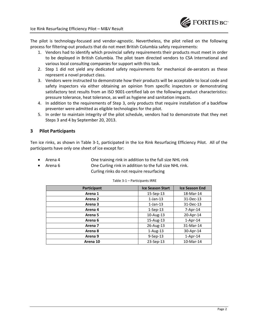

The pilot is technology-focused and vendor-agnostic. Nevertheless, the pilot relied on the following process for filtering-out products that do not meet British Columbia safety requirements:

- 1. Vendors had to identify which provincial safety requirements their products must meet in order to be deployed in British Columbia. The pilot team directed vendors to CSA International and various local consulting companies for support with this task.
- 2. Step 1 did not yield any dedicated safety requirements for mechanical de-aerators as these represent a novel product class.
- 3. Vendors were instructed to demonstrate how their products will be acceptable to local code and safety inspectors via either obtaining an opinion from specific inspectors or demonstrating satisfactory test results from an ISO 9001-certified lab on the following product characteristics: pressure tolerance, heat tolerance, as well as hygiene and sanitation impacts.
- 4. In addition to the requirements of Step 3, only products that require installation of a backflow preventer were admitted as eligible technologies for the pilot.
- 5. In order to maintain integrity of the pilot schedule, vendors had to demonstrate that they met Steps 3 and 4 by September 20, 2013.

## **3 Pilot Participants**

Ten ice rinks, as shown in Table 3-1, participated in the Ice Rink Resurfacing Efficiency Pilot. All of the participants have only one sheet of ice except for:

- Arena 4 **One training rink in addition to the full size NHL rink**
- 

Arena 6 **One Curling rink in addition to the full size NHL rink.** Curling rinks do not require resurfacing

| Participant        | <b>Ice Season Start</b> | <b>Ice Season End</b> |
|--------------------|-------------------------|-----------------------|
| Arena 1            | $15-Sep-13$             | 18-Mar-14             |
| Arena <sub>2</sub> | $1$ -Jan- $13$          | 31-Dec-13             |
| Arena <sub>3</sub> | $1$ -Jan-13             | 31-Dec-13             |
| Arena 4            | $1-Sep-13$              | $7 - Apr - 14$        |
| Arena <sub>5</sub> | 10-Aug-13               | 20-Apr-14             |
| Arena 6            | 15-Aug-13               | $1-Apr-14$            |
| Arena 7            | 26-Aug-13               | 31-Mar-14             |
| Arena 8            | $1-Aug-13$              | 30-Apr-14             |
| Arena 9            | $9-$ Sep $-13$          | $1-Apr-14$            |
| Arena 10           | 23-Sep-13               | 10-Mar-14             |

#### Table 3-1 – Participants IRRE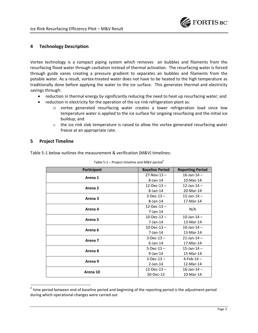

## **4 Technology Description**

Vortex technology is a compact piping system which removes air bubbles and filaments from the resurfacing flood water through cavitation instead of thermal activation. The resurfacing water is forced through guide vanes creating a pressure gradient to separates air bubbles and filaments from the potable water. As a result, vortex-treated water does not have to be heated to the high temperature as traditionally done before applying the water to the ice surface. This generates thermal and electricity savings through:

- reduction in thermal energy by significantly reducing the need to heat up resurfacing water; and
- reduction in electricity for the operation of the ice rink refrigeration plant as:
	- o vortex generated resurfacing water creates a lower refrigeration load since low temperature water is applied to the ice surface for ongoing resurfacing and the initial ice buildup; and
	- $\circ$  the ice rink slab temperature is raised to allow the vortex generated resurfacing water freeze at an appropriate rate.

## **5 Project Timeline**

 $\overline{\phantom{a}}$ 

Table 5-1 below outlines the measurement & verification (M&V) timelines:

| Participant        | <b>Baseline Period</b> | <b>Reporting Period</b> |
|--------------------|------------------------|-------------------------|
| Arena 1            | $27-Nov-13 -$          | $16$ -Jan-14 –          |
|                    | $8$ -Jan-14            | 10-Mar-14               |
| Arena 2            | $12$ -Dec-13-          | $12$ -Jan-14 -          |
|                    | $8$ -Jan-14            | 20-Mar-14               |
| Arena <sub>3</sub> | $3 - Dec - 13 -$       | $15$ -Jan-14 –          |
|                    | $8$ -Jan-14            | 17-Mar-14               |
| Arena 4            | $12$ -Dec-13 –         |                         |
|                    | $7$ -Jan-14            | N/A                     |
| Arena <sub>5</sub> | $10 - Dec - 13 -$      | 10-Jan-14 $-$           |
|                    | $7$ -Jan-14            | 13-Mar-14               |
| Arena <sub>6</sub> | $10 - Dec - 13 -$      | $10$ -Jan-14 –          |
|                    | $7$ -Jan-14            | 13-Mar-14               |
| Arena 7            | $3 - Dec - 13 -$       | $21$ -Jan-14 –          |
|                    | $6$ -Jan-14            | 17-Mar-14               |
| Arena 8            | $5 - Dec - 13 -$       | $15$ -Jan-14 -          |
|                    | $9$ -Jan-14            | 15-Mar-14               |
| Arena 9            | $3 - Dec - 13 -$       | $4 - Feb - 14 -$        |
|                    | $2$ -Jan-14            | 12-Mar-14               |
| Arena 10           | $12$ -Dec-13 –         | $16$ -Jan- $14 -$       |
|                    | 30-Dec-13              | 10-Mar-14               |

| Table 5-1 – Project timeline and M&V period <sup>2</sup> |  |  |  |
|----------------------------------------------------------|--|--|--|
|                                                          |  |  |  |

 $2$  time period between end of baseline period and beginning of the reporting period is the adjustment period during which operational changes were carried out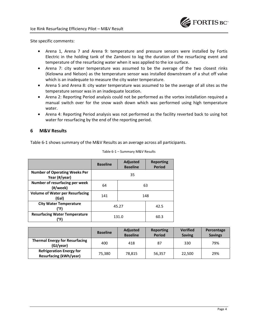

Site specific comments:

- Arena 1, Arena 7 and Arena 9: temperature and pressure sensors were installed by Fortis Electric in the holding tank of the Zamboni to log the duration of the resurfacing event and temperature of the resurfacing water when it was applied to the ice surface.
- Arena 7: city water temperature was assumed to be the average of the two closest rinks (Kelowna and Nelson) as the temperature sensor was installed downstream of a shut off valve which is an inadequate to measure the city water temperature.
- Arena 5 and Arena 8: city water temperature was assumed to be the average of all sites as the temperature sensor was in an inadequate location.
- Arena 2: Reporting Period analysis could not be performed as the vortex installation required a manual switch over for the snow wash down which was performed using high temperature water.
- Arena 4: Reporting Period analysis was not performed as the facility reverted back to using hot water for resurfacing by the end of the reporting period.

## **6 M&V Results**

Table 6-1 shows summary of the M&V Results as an average across all participants.

|                                                       | <b>Baseline</b> | <b>Adjusted</b><br><b>Baseline</b> | <b>Reporting</b><br><b>Period</b> |  |
|-------------------------------------------------------|-----------------|------------------------------------|-----------------------------------|--|
| <b>Number of Operating Weeks Per</b><br>Year (#/year) | 35              |                                    |                                   |  |
| Number of resurfacing per week<br>(#/week)            | 64<br>63        |                                    |                                   |  |
| <b>Volume of Water per Resurfacing</b><br>(Gal)       | 141<br>148      |                                    |                                   |  |
| <b>City Water Temperature</b><br>(°F)                 | 45.27           |                                    | 42.5                              |  |
| <b>Resurfacing Water Temperature</b><br>(°F)          | 131.0           |                                    | 60.3                              |  |

Table 6-1 – Summary M&V Results

|                                                                  | <b>Baseline</b> | <b>Adjusted</b><br><b>Baseline</b> | <b>Reporting</b><br><b>Period</b> | <b>Verified</b><br><b>Saving</b> | Percentage<br><b>Savings</b> |
|------------------------------------------------------------------|-----------------|------------------------------------|-----------------------------------|----------------------------------|------------------------------|
| <b>Thermal Energy for Resurfacing</b><br>(GJ/year)               | 400             | 418                                | 87                                | 330                              | 79%                          |
| <b>Refrigeration Energy for</b><br><b>Resurfacing (kWh/year)</b> | 75,380          | 78.815                             | 56.357                            | 22.500                           | 29%                          |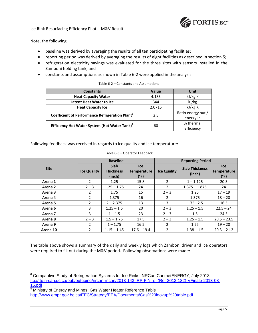

## Note, the following

- baseline was derived by averaging the results of all ten participating facilities;
- reporting period was derived by averaging the results of eight facilities as described in section 5;
- refrigeration electricity savings was evaluated for the three sites with sensors installed in the Zamboni holding tank; and
- constants and assumptions as shown in Table 6-2 were applied in the analysis

| <b>Constants</b>                                            | Value  | Unit               |
|-------------------------------------------------------------|--------|--------------------|
| <b>Heat Capacity Water</b>                                  | 4.183  | kJ/kg K            |
| <b>Latent Heat Water to Ice</b>                             | 344    | kJ/kg              |
| <b>Heat Capacity Ice</b>                                    | 2.0715 | kJ/kg K            |
| Coefficient of Performance Refrigeration Plant <sup>3</sup> | 2.5    | Ratio energy out / |
|                                                             |        | energy in          |
| Efficiency Hot Water System (Hot Water Tank) <sup>4</sup>   |        | % thermal          |
|                                                             | 60     | efficiency         |

| Table 6-2 - Constants and Assumptions |  |
|---------------------------------------|--|
|---------------------------------------|--|

Following feedback was received in regards to ice quality and ice temperature:

Table 6-3 – Operator Feedback

|                    | <b>Baseline</b>    |                                           |                                          | <b>Reporting Period</b> |                                 |                                          |
|--------------------|--------------------|-------------------------------------------|------------------------------------------|-------------------------|---------------------------------|------------------------------------------|
| <b>Site</b>        | <b>Ice Quality</b> | <b>Slab</b><br><b>Thickness</b><br>(inch) | <b>Ice</b><br><b>Temperature</b><br>(°F) | <b>Ice Quality</b>      | <b>Slab Thickness</b><br>(inch) | <b>Ice</b><br><b>Temperature</b><br>(°F) |
| Arena 1            | $\mathfrak{p}$     | 1.25                                      | 15.8                                     | $\overline{2}$          | $1 - 1.125$                     | 20.3                                     |
| Arena 2            | $2 - 3$            | $1.25 - 1.75$                             | 24                                       | $\overline{2}$          | $1.375 - 1.875$                 | 24                                       |
| Arena 3            | $\overline{2}$     | 1.75                                      | 15                                       | $2 - 3$                 | 1.25                            | $17 - 19$                                |
| Arena 4            | $\overline{2}$     | 1.375                                     | 16                                       | $\overline{2}$          | 1.375                           | $18 - 20$                                |
| Arena <sub>5</sub> | $\overline{2}$     | $2 - 2.375$                               | 13                                       | 3                       | $1.75 - 2.5$                    | 16.5                                     |
| Arena 6            | 3                  | $1.25 - 1.5$                              | 20                                       | $2 - 3$                 | $1.25 - 1.5$                    | $22.5 - 24$                              |
| Arena 7            | 3                  | $1 - 1.5$                                 | 23                                       | $2 - 3$                 | 1.5                             | 24.5                                     |
| Arena 8            | $2 - 3$            | $1.5 - 1.75$                              | 17.5                                     | $2 - 3$                 | $1.25 - 1.5$                    | $20.5 - 23.5$                            |
| Arena 9            | $\overline{2}$     | $1 - 1.75$                                | 16.5                                     | $\overline{2}$          | 1.25                            | $19 - 20$                                |
| Arena 10           | 2                  | $1.15 - 1.45$                             | $17.6 - 19.4$                            | 2                       | $1.38 - 1.5$                    | $20.3 - 21.2$                            |

The table above shows a summary of the daily and weekly logs which Zamboni driver and ice operators were required to fill out during the M&V period. Following observations were made:

 3 Comparitive Study of Refrigeration Systems for Ice Rinks, NRCan CanmetENERGY, July 2013 ftp://ftp.nrcan.gc.ca/pub/outgoing/nrcan-rncan/2013-143\_RP-FIN\_e\_(Ref-2013-132)-VFinale-2013-08- 15.pdf

<sup>&</sup>lt;sup>4</sup> Ministry of Energy and Mines, Gas Water Heater Reference Table http://www.empr.gov.bc.ca/EEC/Strategy/EEA/Documents/Gas%20lookup%20table.pdf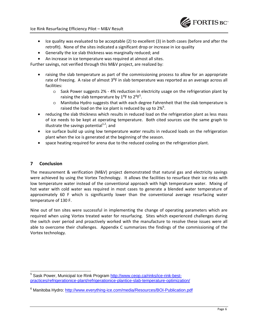

- Ice quality was evaluated to be acceptable (2) to excellent (3) in both cases (before and after the retrofit). None of the sites indicated a significant drop or increase in ice quality
- Generally the ice slab thickness was marginally reduced; and
- An increase in ice temperature was required at almost all sites.

Further savings, not verified through this M&V project, are realized by:

- raising the slab temperature as part of the commissioning process to allow for an appropriate rate of freezing. A raise of almost 3°F in slab temperature was reported as an average across all facilities:
	- o Sask Power suggests 2% 4% reduction in electricity usage on the refrigeration plant by raising the slab temperature by  $1^{\circ}$ F to  $2^{\circ}$ F<sup>5</sup>.
	- o Manitoba Hydro suggests that with each degree Fahrenheit that the slab temperature is raised the load on the ice plant is reduced by up to 2%<sup>6</sup>.
- reducing the slab thickness which results in reduced load on the refrigeration plant as less mass of ice needs to be kept at operating temperature. Both cited sources use the same graph to illustrate the savings potential $1/2$ ; and
- ice surface build up using low temperature water results in reduced loads on the refrigeration plant when the ice is generated at the beginning of the season.
- space heating required for arena due to the reduced cooling on the refrigeration plant.

## **7 Conclusion**

The measurement & verification (M&V) project demonstrated that natural gas and electricity savings were achieved by using the Vortex Technology. It allows the facilities to resurface their ice rinks with low temperature water instead of the conventional approach with high temperature water. Mixing of hot water with cold water was required in most cases to generate a blended water temperature of approximately 60 F which is significantly lower than the conventional average resurfacing water temperature of 130 F.

Nine out of ten sites were successful in implementing the change of operating parameters which are required when using Vortex treated water for resurfacing. Sites which experienced challenges during the switch over period and proactively worked with the manufacture to resolve these issues were all able to overcome their challenges. Appendix C summarizes the findings of the commissioning of the Vortex technology.

l <sup>5</sup> Sask Power, Municipal Ice Rink Program http://www.ceop.ca/rinks/ice-rink-bestpractices/refrigerationice-plant/refrigerationice-plantice-slab-temperature-optimization/

<sup>&</sup>lt;sup>6</sup> Manitoba Hydro: http://www.everything-ice.com/media/Resources/BOI-Publication.pdf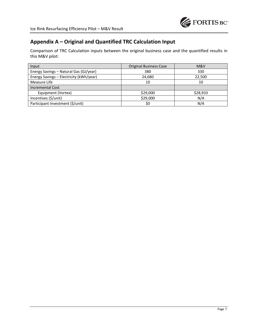

## **Appendix A – Original and Quantified TRC Calculation Input**

Comparison of TRC Calculation inputs between the original business case and the quantified results in this M&V pilot:

| Input                                   | <b>Original Business Case</b> | M&V      |
|-----------------------------------------|-------------------------------|----------|
| Energy Savings - Natural Gas (GJ/year)  | 380                           | 330      |
| Energy Savings - Electricity (kWh/year) | 24,680                        | 22,500   |
| Measure Life                            | 10                            | 10       |
| <b>Incremental Cost</b>                 |                               |          |
| Equipment (Vortex)                      | \$29,000                      | \$28,933 |
| Incentives (\$/unit)                    | \$29,000                      | N/A      |
| Participant Investment (\$/unit)        | \$0                           | N/A      |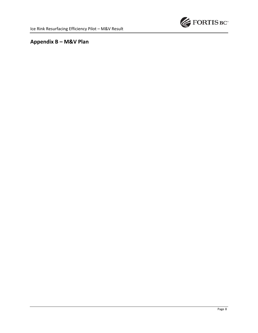

# **Appendix B – M&V Plan**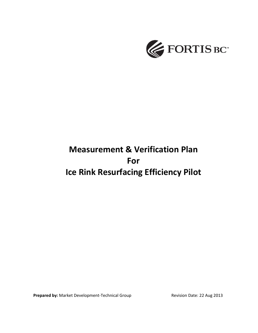

# **Measurement & Verification Plan For Ice Rink Resurfacing Efficiency Pilot**

**Prepared by:** Market Development-Technical Group Revision Date: 22 Aug 2013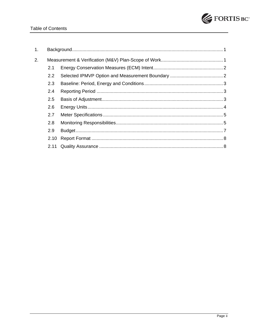

| 1 <sub>1</sub> |               |  |
|----------------|---------------|--|
| 2.             |               |  |
|                | 2.1           |  |
|                | $2.2^{\circ}$ |  |
|                | 2.3           |  |
|                | 2.4           |  |
|                | 2.5           |  |
|                | 2.6           |  |
|                | 2.7           |  |
|                | 2.8           |  |
|                | 2.9           |  |
|                | 2.10          |  |
|                |               |  |
|                |               |  |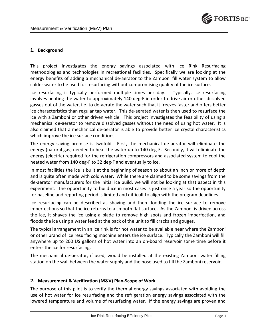

## **1. Background**

This project investigates the energy savings associated with Ice Rink Resurfacing methodologies and technologies in recreational facilities. Specifically we are looking at the energy benefits of adding a mechanical de-aerator to the Zamboni fill water system to allow colder water to be used for resurfacing without compromising quality of the ice surface.

Ice resurfacing is typically performed multiple times per day. Typically, ice resurfacing involves heating the water to approximately 140 deg-F in order to drive air or other dissolved gasses out of the water, i.e. to de-aerate the water such that it freezes faster and offers better ice characteristics than regular tap water. This de-aerated water is then used to resurface the ice with a Zamboni or other driven vehicle. This project investigates the feasibility of using a mechanical de-aerator to remove dissolved gasses without the need of using hot water. It is also claimed that a mechanical de-aerator is able to provide better ice crystal characteristics which improve the ice surface conditions.

The energy saving premise is twofold. First, the mechanical de-aerator will eliminate the energy (natural gas) needed to heat the water up to 140 deg-F. Secondly, it will eliminate the energy (electric) required for the refrigeration compressors and associated system to cool the heated water from 140 deg-F to 32 deg-F and eventually to ice.

In most facilities the ice is built at the beginning of season to about an inch or more of depth and is quite often made with cold water. While there are claimed to be some savings from the de-aerator manufacturers for the initial ice build, we will not be looking at that aspect in this experiment. The opportunity to build ice in most cases is just once a year so the opportunity for baseline and reporting period is limited and difficult to align with the program deadlines.

Ice resurfacing can be described as shaving and then flooding the ice surface to remove imperfections so that the ice returns to a smooth flat surface. As the Zamboni is driven across the ice, it shaves the ice using a blade to remove high spots and frozen imperfection, and floods the ice using a water feed at the back of the unit to fill cracks and gouges.

The typical arrangement in an ice rink is for hot water to be available near where the Zamboni or other brand of ice resurfacing machine enters the ice surface. Typically the Zamboni will fill anywhere up to 200 US gallons of hot water into an on-board reservoir some time before it enters the ice for resurfacing.

The mechanical de-aerator, if used, would be installed at the existing Zamboni water filling station on the wall between the water supply and the hose used to fill the Zamboni reservoir.

## **2. Measurement & Verification (M&V) Plan-Scope of Work**

The purpose of this pilot is to verify the thermal energy savings associated with avoiding the use of hot water for ice resurfacing and the refrigeration energy savings associated with the lowered temperature and volume of resurfacing water. If the energy savings are proven and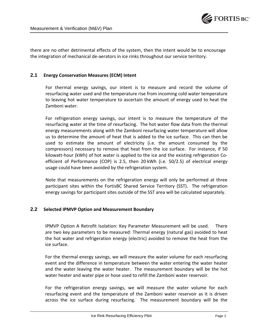

there are no other detrimental effects of the system, then the intent would be to encourage the integration of mechanical de-aerators in ice rinks throughout our service territory.

## **2.1 Energy Conservation Measures (ECM) Intent**

For thermal energy savings, our intent is to measure and record the volume of resurfacing water used and the temperature rise from incoming cold water temperature to leaving hot water temperature to ascertain the amount of energy used to heat the Zamboni water.

For refrigeration energy savings, our intent is to measure the temperature of the resurfacing water at the time of resurfacing. The hot water flow data from the thermal energy measurements along with the Zamboni resurfacing water temperature will allow us to determine the amount of heat that is added to the ice surface. This can then be used to estimate the amount of electricity (i.e. the amount consumed by the compressors) necessary to remove that heat from the ice surface. For instance, if 50 kilowatt-hour (kWh) of hot water is applied to the ice and the existing refrigeration Coefficient of Performance (COP) is 2.5, then 20 kWh (i.e. 50/2.5) of electrical energy usage could have been avoided by the refrigeration system.

Note that measurements on the refrigeration energy will only be performed at three participant sites within the FortisBC Shared Service Territory (SST). The refrigeration energy savings for participant sites outside of the SST area will be calculated separately.

## **2.2 Selected IPMVP Option and Measurement Boundary**

IPMVP Option A Retrofit Isolation: Key Parameter Measurement will be used. There are two key parameters to be measured: Thermal energy (natural gas) avoided to heat the hot water and refrigeration energy (electric) avoided to remove the heat from the ice surface.

For the thermal energy savings, we will measure the water volume for each resurfacing event and the difference in temperature between the water entering the water heater and the water leaving the water heater. The measurement boundary will be the hot water heater and water pipe or hose used to refill the Zamboni water reservoir.

For the refrigeration energy savings, we will measure the water volume for each resurfacing event and the temperature of the Zamboni water reservoir as it is driven across the ice surface during resurfacing. The measurement boundary will be the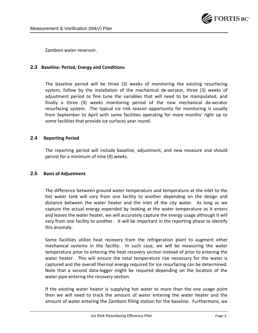

Zamboni water reservoir.

## **2.3 Baseline: Period, Energy and Conditions**

The baseline period will be three (3) weeks of monitoring the existing resurfacing system, follow by the installation of the mechanical de-aerator, three (3) weeks of adjustment period to fine tune the variables that will need to be manipulated, and finally a three (3) weeks monitoring period of the new mechanical de-aerator resurfacing system. The typical ice rink season opportunity for monitoring is usually from September to April with some facilities operating for more months' right up to some facilities that provide ice surfaces year round.

## **2.4 Reporting Period**

The reporting period will include baseline, adjustment, and new measure and should persist for a minimum of nine (9) weeks.

## **2.5 Basis of Adjustment**

The difference between ground water temperature and temperature at the inlet to the hot water tank will vary from one facility to another depending on the design and distance between the water heater and the inlet of the city water. As long as we capture the actual energy expended by looking at the water temperature as it enters and leaves the water heater, we will accurately capture the energy usage although it will vary from one facility to another. It will be important in the reporting phase to identify this anomaly.

Some facilities utilize heat recovery from the refrigeration plant to augment other mechanical systems in the facility. In such case, we will be measuring the water temperature prior to entering the heat recovery section instead of prior to entering the water heater. This will ensure the total temperature rise necessary for the water is captured and the overall thermal energy required for ice resurfacing can be determined. Note that a second data-logger might be required depending on the location of the water pipe entering the recovery section.

If the existing water heater is supplying hot water to more than the one usage point then we will need to track the amount of water entering the water heater and the amount of water entering the Zamboni filling station for the baseline. Furthermore, we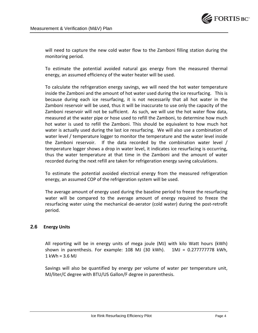

will need to capture the new cold water flow to the Zamboni filling station during the monitoring period.

To estimate the potential avoided natural gas energy from the measured thermal energy, an assumed efficiency of the water heater will be used.

To calculate the refrigeration energy savings, we will need the hot water temperature inside the Zamboni and the amount of hot water used during the ice resurfacing. This is because during each ice resurfacing, it is not necessarily that all hot water in the Zamboni reservoir will be used, thus it will be inaccurate to use only the capacity of the Zamboni reservoir will not be sufficient. As such, we will use the hot water flow data, measured at the water pipe or hose used to refill the Zamboni, to determine how much hot water is used to refill the Zamboni. This should be equivalent to how much hot water is actually used during the last ice resurfacing. We will also use a combination of water level / temperature logger to monitor the temperature and the water level inside the Zamboni reservoir. If the data recorded by the combination water level / temperature logger shows a drop in water level, it indicates ice resurfacing is occurring, thus the water temperature at that time in the Zamboni and the amount of water recorded during the next refill are taken for refrigeration energy saving calculations.

To estimate the potential avoided electrical energy from the measured refrigeration energy, an assumed COP of the refrigeration system will be used.

The average amount of energy used during the baseline period to freeze the resurfacing water will be compared to the average amount of energy required to freeze the resurfacing water using the mechanical de-aerator (cold water) during the post-retrofit period.

## **2.6 Energy Units**

All reporting will be in energy units of mega joule (MJ) with kilo Watt hours (kWh) shown in parenthesis. For example: 108 MJ (30 kWh). 1MJ = 0.277777778 kWh,  $1$  kWh =  $3.6$  MJ

Savings will also be quantified by energy per volume of water per temperature unit, MJ/liter/C degree with BTU/US Gallon/F degree in parenthesis.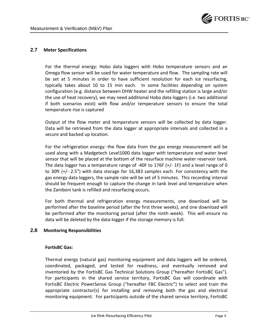

## **2.7 Meter Specifications**

For the thermal energy: Hobo data loggers with Hobo temperature sensors and an Omega flow sensor will be used for water temperature and flow. The sampling rate will be set at 5 minutes in order to have sufficient resolution for each ice resurfacing, typically takes about 10 to 15 min each. In some facilities depending on system configuration (e.g. distance between DHW heater and the refilling station is large and/or the use of heat recovery), we may need additional Hobo data loggers (i.e. two additional if both scenarios exist) with flow and/or temperature sensors to ensure the total temperature rise is captured

Output of the flow meter and temperature sensors will be collected by data logger. Data will be retrieved from the data logger at appropriate intervals and collected in a secure and backed up location.

For the refrigeration energy: the flow data from the gas energy measurement will be used along with a Madgetech Level1000 data logger with temperature and water level sensor that will be placed at the bottom of the resurface machine water reservoir tank. The data logger has a temperature range of -40F to 176F (+/- 1F) and a level range of 0 to 30ft (+/- 2.5") with data storage for 16,383 samples each. For consistency with the gas energy data loggers, the sample rate will be set of 5 minutes. This recording interval should be frequent enough to capture the change in tank level and temperature when the Zamboni tank is refilled and resurfacing occurs.

For both thermal and refrigeration energy measurements, one download will be performed after the baseline period (after the first three weeks), and one download will be performed after the monitoring period (after the ninth week). This will ensure no data will be deleted by the data-logger if the storage memory is full.

## **2.8 Monitoring Responsibilities**

## **FortisBC Gas:**

Thermal energy (natural gas) monitoring equipment and data loggers will be ordered, coordinated, packaged, and tested for readiness, and eventually removed and inventoried by the FortisBC Gas Technical Solutions Group ("hereafter FortisBC Gas"). For participants in the shared service territory, FortisBC Gas will coordinate with FortisBC Electric PowerSense Group ("hereafter FBC Electric") to select and train the appropriate contractor(s) for installing and removing both the gas and electrical monitoring equipment. For participants outside of the shared service territory, FortisBC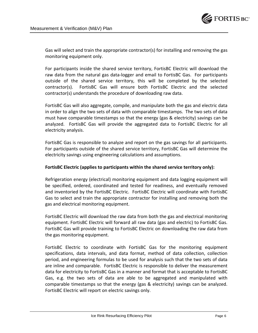

Gas will select and train the appropriate contractor(s) for installing and removing the gas monitoring equipment only.

For participants inside the shared service territory, FortisBC Electric will download the raw data from the natural gas data-logger and email to FortisBC Gas. For participants outside of the shared service territory, this will be completed by the selected contractor(s). FortisBC Gas will ensure both FortisBC Electric and the selected contractor(s) understands the procedure of downloading raw data.

FortisBC Gas will also aggregate, compile, and manipulate both the gas and electric data in order to align the two sets of data with comparable timestamps. The two sets of data must have comparable timestamps so that the energy (gas & electricity) savings can be analyzed. FortisBC Gas will provide the aggregated data to FortisBC Electric for all electricity analysis.

FortisBC Gas is responsible to analyze and report on the gas savings for all participants. For participants outside of the shared service territory, FortisBC Gas will determine the electricity savings using engineering calculations and assumptions.

## **FortisBC Electric (applies to participants within the shared service territory only):**

Refrigeration energy (electrical) monitoring equipment and data logging equipment will be specified, ordered, coordinated and tested for readiness, and eventually removed and inventoried by the FortisBC Electric. FortisBC Electric will coordinate with FortisBC Gas to select and train the appropriate contractor for installing and removing both the gas and electrical monitoring equipment.

FortisBC Electric will download the raw data from both the gas and electrical monitoring equipment. FortisBC Electric will forward all raw data (gas and electric) to FortisBC Gas. FortisBC Gas will provide training to FortisBC Electric on downloading the raw data from the gas monitoring equipment.

FortisBC Electric to coordinate with FortisBC Gas for the monitoring equipment specifications, data intervals, and data format, method of data collection, collection period, and engineering formulas to be used for analysis such that the two sets of data are inline and comparable. FortisBC Electric is responsible to deliver the measurement data for electricity to FortisBC Gas in a manner and format that is acceptable to FortisBC Gas, e.g. the two sets of data are able to be aggregated and manipulated with comparable timestamps so that the energy (gas & electricity) savings can be analyzed. FortisBC Electric will report on electric savings only.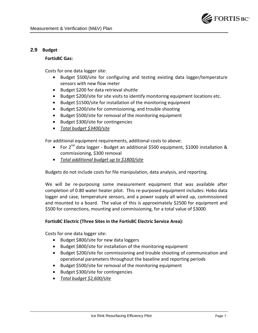

## **2.9 Budget**

## **FortisBC Gas:**

Costs for one data logger site:

- Budget \$500/site for configuring and testing existing data logger/temperature sensors with new flow meter
- Budget \$200 for data retrieval shuttle
- Budget \$200/site for site visits to identify monitoring equipment locations etc.
- Budget \$1500/site for installation of the monitoring equipment
- Budget \$200/site for commissioning, and trouble shooting
- Budget \$500/site for removal of the monitoring equipment
- Budget \$300/site for contingencies
- *Total budget \$3400/site*

For additional equipment requirements, additional costs to above:

- For  $2^{nd}$  data logger Budget an additional \$500 equipment, \$1000 installation & commissioning, \$300 removal
- *Total additional budget up to \$1800/site*

Budgets do not include costs for file manipulation, data analysis, and reporting.

We will be re-purposing some measurement equipment that was available after completion of 0.80 water heater pilot. This re-purposed equipment includes: Hobo data logger and case, temperature sensors, and a power supply all wired up, commissioned and mounted to a board. The value of this is approximately \$2500 for equipment and \$500 for connections, mounting and commissioning, for a total value of \$3000

## **FortisBC Electric (Three Sites in the FortisBC Electric Service Area):**

Costs for one data logger site:

- Budget \$800/site for new data loggers
- Budget \$800/site for installation of the monitoring equipment
- Budget \$200/site for commissioning and trouble shooting of communication and operational parameters throughout the baseline and reporting periods
- Budget \$500/site for removal of the monitoring equipment
- Budget \$300/site for contingencies
- *Total budget \$2,600/site*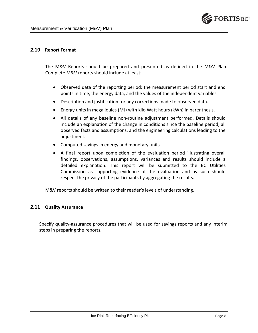

## **2.10 Report Format**

The M&V Reports should be prepared and presented as defined in the M&V Plan. Complete M&V reports should include at least:

- Observed data of the reporting period: the measurement period start and end points in time, the energy data, and the values of the independent variables.
- Description and justification for any corrections made to observed data.
- Energy units in mega joules (MJ) with kilo Watt hours (kWh) in parenthesis.
- All details of any baseline non-routine adjustment performed. Details should include an explanation of the change in conditions since the baseline period; all observed facts and assumptions, and the engineering calculations leading to the adjustment.
- Computed savings in energy and monetary units.
- A final report upon completion of the evaluation period illustrating overall findings, observations, assumptions, variances and results should include a detailed explanation. This report will be submitted to the BC Utilities Commission as supporting evidence of the evaluation and as such should respect the privacy of the participants by aggregating the results.

M&V reports should be written to their reader's levels of understanding.

## **2.11 Quality Assurance**

Specify quality-assurance procedures that will be used for savings reports and any interim steps in preparing the reports.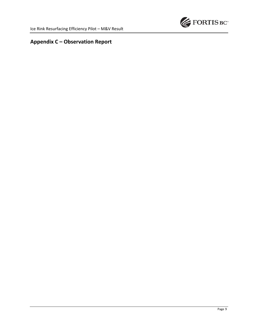

# **Appendix C – Observation Report**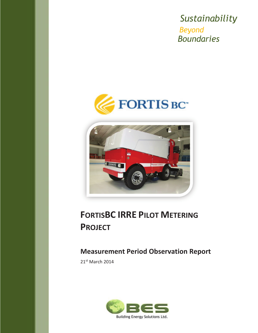Sustainability **Beyond Boundaries** 





# **FORTISBC IRRE PILOT METERING PROJECT**

# **Measurement Period Observation Report**

21st March 2014

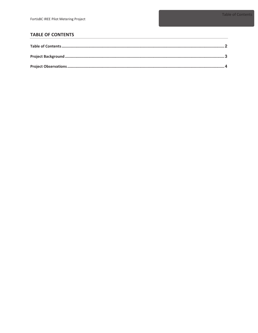## **TABLE OF CONTENTS**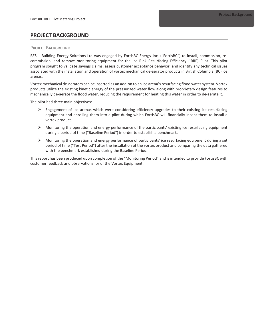## **PROJECT BACKGROUND**

#### **PROJECT BACKGROUND**

BES - Building Energy Solutions Ltd was engaged by FortisBC Energy Inc. ("FortisBC") to install, commission, recommission, and remove monitoring equipment for the Ice Rink Resurfacing Efficiency (IRRE) Pilot. This pilot program sought to validate savings claims, assess customer acceptance behavior, and identify any technical issues associated with the installation and operation of vortex mechanical de-aerator products in British Columbia (BC) ice arenas.

Vortex mechanical de-aerators can be inserted as an add-on to an ice arena's resurfacing flood water system. Vortex products utilize the existing kinetic energy of the pressurized water flow along with proprietary design features to mechanically de-aerate the flood water, reducing the requirement for heating this water in order to de-aerate it.

The pilot had three main objectives:

- $\triangleright$  Engagement of ice arenas which were considering efficiency upgrades to their existing ice resurfacing equipment and enrolling them into a pilot during which FortisBC will financially incent them to install a vortex product.
- $\triangleright$  Monitoring the operation and energy performance of the participants' existing ice resurfacing equipment during a period of time ("Baseline Period") in order to establish a benchmark.
- $\triangleright$  Monitoring the operation and energy performance of participants' ice resurfacing equipment during a set period of time ("Test Period") after the installation of the vortex product and comparing the data gathered with the benchmark established during the Baseline Period.

This report has been produced upon completion of the "Monitoring Period" and is intended to provide FortisBC with customer feedback and observations for of the Vortex Equipment.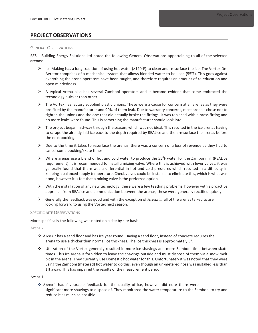## PROJECT OBSERVATIONS

#### **GENERAL OBSERVATIONS**

BES - Building Energy Solutions Ltd noted the following General Observations appertaining to all of the selected arenas:

- > Ice Making has a long tradition of using hot water (>120<sup>0</sup>F) to clean and re-surface the ice. The Vortex De-Aerator comprises of a mechanical system that allows blended water to be used (55<sup>o</sup>F). This goes against everything the arena operators have been taught, and therefore requires an amount of re-education and open mindedness.
- $\triangleright$  A typical Arena also has several Zamboni operators and it became evident that some embraced the technology quicker than other.
- The Vortex has factory supplied plastic unions. These were a cause for concern at all arenas as they were pre-fixed by the manufacturer and 90% of them leak. Due to warranty concerns, most arena's chose not to tighten the unions and the one that did actually broke the fittings. It was replaced with a brass fitting and no more leaks were found. This is something the manufacturer should look into.
- $\triangleright$  The project began mid-way through the season, which was not ideal. This resulted in the ice arenas having to scrape the already laid ice back to the depth required by REALice and then re-surface the arenas before the next booking.
- $\triangleright$  Due to the time it takes to resurface the arenas, there was a concern of a loss of revenue as they had to cancel some booking/skate times.
- > Where arenas use a blend of hot and cold water to produce the 55°F water for the Zamboni fill (REALice requirement), it is recommended to install a mixing valve. Where this is achieved with lever valves, it was generally found that there was a differential in hot and cold pressures which resulted in a difficulty in keeping a balanced supply temperature. Check valves could be installed to eliminate this, which is what was done, however it is felt that a mixing valve is the preferred option.
- > With the installation of any new technology, there were a few teething problems, however with a proactive approach from REALice and communication between the arenas, these were generally rectified quickly.
- $\triangleright$  Generally the feedback was good and with the exception of Arena 4, all of the arenas talked to are looking forward to using the Vortex next season.

#### **SPECIFIC SITE OBSERVATIONS**

More specifically the following was noted on a site by site basis:

Arena 2

- ◆ Arena 2 has a sand floor and has ice year round. Having a sand floor, instead of concrete requires the arena to use a thicker than normal ice thickness. The ice thickness is approximately 3".
- ❖ Utilization of the Vortex generally resulted in more ice shavings and more Zamboni time between skate times. This ice arena is forbidden to leave the shavings outside and must dispose of them via a snow melt pit in the arena. They currently use Domestic hot water for this. Unfortunately it was noted that they were using the Zamboni (metered) hot water to do this, even though an un-metered hose was installed less than 1ft away. This has impaired the results of the measurement period.

Arena 1

\* Arena 1 had favourable feedback for the quality of ice, however did note there were significant more shavings to dispose of. They monitored the water temperature to the Zamboni to try and reduce it as much as possible.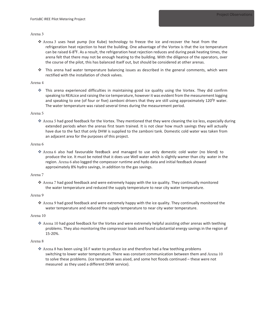#### Arena 3

- ❖ Arena 3 uses heat pump (Ice Kube) technology to freeze the ice and recover the heat from the refrigeration heat rejection to heat the building. One advantage of the Vortex is that the ice temperature can be raised  $6-8^{\circ}$ F. As a result, the refrigeration heat rejection reduces and during peak heating times, the arena felt that there may not be enough heating to the building. With the diligence of the operators, over the course of the pilot, this has balanced itself out, but should be considered at other arenas.
- This arena had water temperature balancing issues as described in the general comments, which were rectified with the installation of check valves.

#### Arena 4

\* This arena experienced difficulties in maintaining good ice quality using the Vortex. They did confirm speaking to REALice and raising the ice temperature, however it was evident from the measurement logging and speaking to one (of four or five) zamboni drivers that they are still using approximately 120<sup>o</sup>F water. The water temperature was raised several times during the measurement period.

#### Arena 5

❖ Arena 5 had good feedback for the Vortex. They mentioned that they were cleaning the ice less, especially during extended periods when the arenas first team trained. It is not clear how much savings they will actually have due to the fact that only DHW is supplied to the zamboni tank. Domestic cold water was taken from an adjacent area for the purposes of this project.

#### Arena 6

\* Arena 6 also had favourable feedback and managed to use only domestic cold water (no blend) to produce the ice. It must be noted that it does use Well water which is slightly wamer than city water in the region. Arena 6 also logged the compessor runtime and hydo data and initial feedback showed approximately 8% hydro savings, in addition to the gas savings.

#### Arena 7

❖ Arena 7 had good feedback and were extremely happy with the ice quality. They continually monitored the water temperature and reduced the supply temperature to near city water temperature.

#### Arena 9

 $\cdot$  Arena 9 had good feedback and were extremely happy with the ice quality. They continually monitored the water temperature and reduced the supply temperature to near city water temperature.

#### Arena 10

† Arena 10 had good feedback for the Vortex and were extremely helpful assisting other arenas with teething problems. They also monitoring the compressor loads and found substantial energy savings in the region of 15-20%.

#### Arena 8

❖ Arena 8 has been using 16 F water to produce ice and therefore had a few teething problems switching to lower water temperature. There was constant communication between them and Arena 10 to solve these problems. (ice tempeatue was aised, and some hot floods continued - these were not measured as they used a different DHW service).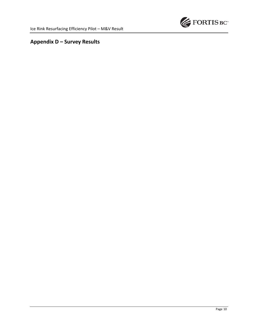

# **Appendix D – Survey Results**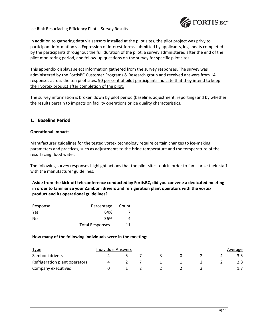

## Ice Rink Resurfacing Efficiency Pilot – Survey Results

In addition to gathering data via sensors installed at the pilot sites, the pilot project was privy to participant information via Expression of Interest forms submitted by applicants, log sheets completed by the participants throughout the full duration of the pilot, a survey administered after the end of the pilot monitoring period, and follow-up questions on the survey for specific pilot sites.

This appendix displays select information gathered from the survey responses. The survey was administered by the FortisBC Customer Programs & Research group and received answers from 14 responses across the ten pilot sites. 90 per cent of pilot participants indicate that they intend to keep their vortex product after completion of the pilot.

The survey information is broken down by pilot period (baseline, adjustment, reporting) and by whether the results pertain to impacts on facility operations or ice quality characteristics.

## **1. Baseline Period**

## **Operational Impacts**

Manufacturer guidelines for the tested vortex technology require certain changes to ice-making parameters and practices, such as adjustments to the brine temperature and the temperature of the resurfacing flood water.

The following survey responses highlight actions that the pilot sites took in order to familiarize their staff with the manufacturer guidelines:

**Aside from the kick-off teleconference conducted by FortisBC, did you convene a dedicated meeting in order to familiarize your Zamboni drivers and refrigeration plant operators with the vortex product and its operational guidelines?** 

| Response | Percentage             | Count |
|----------|------------------------|-------|
| Yes      | 64%                    |       |
| No       | 36%                    |       |
|          | <b>Total Responses</b> | 11    |

### **How many of the following individuals were in the meeting:**

| <u>Type</u>                   | Individual Answers |  |  |  | Average |
|-------------------------------|--------------------|--|--|--|---------|
| Zamboni drivers               |                    |  |  |  | 3.5     |
| Refrigeration plant operators |                    |  |  |  | 2.8     |
| Company executives            |                    |  |  |  |         |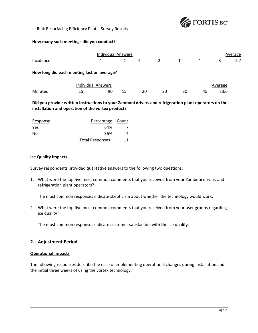

### **How many such meetings did you conduct?**

|                                            |                           | <b>Individual Answers</b> |    |    |    |    |    |         | Average |
|--------------------------------------------|---------------------------|---------------------------|----|----|----|----|----|---------|---------|
| Incidence                                  |                           | 4                         |    | 4  | 2  | 1  | 4  | 3       | 2.7     |
| How long did each meeting last on average? |                           |                           |    |    |    |    |    |         |         |
|                                            | <b>Individual Answers</b> |                           |    |    |    |    |    | Average |         |
| <b>Minutes</b>                             | 15                        | 90                        | 15 | 20 | 20 | 30 | 45 | 33.6    |         |

## **Did you provide written instructions to your Zamboni drivers and refrigeration plant operators on the installation and operation of the vortex product?**

| Response   | Percentage Count       |    |
|------------|------------------------|----|
| <b>Yes</b> | 64%                    |    |
| No         | 36%                    | 4  |
|            | <b>Total Responses</b> | 11 |

### **Ice Quality Impacts**

Survey respondents provided qualitative answers to the following two questions:

1. What were the top five most common comments that you received from your Zamboni drivers and refrigeration plant operators?

The most common responses indicate skepticism about whether the technology would work.

2. What were the top five most common comments that you received from your user groups regarding ice quality?

The most common responses indicate customer satisfaction with the ice quality.

## **2. Adjustment Period**

### **Operational Impacts**

The following responses describe the ease of implementing operational changes during installation and the initial three weeks of using the vortex technology: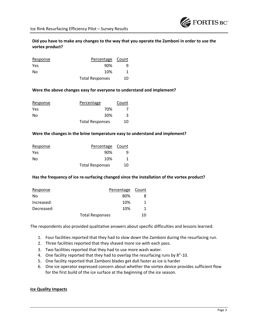## **Did you have to make any changes to the way that you operate the Zamboni in order to use the vortex product?**

| Response | Percentage Count       |    |
|----------|------------------------|----|
| Yes      | 90%                    |    |
| No       | 10%                    |    |
|          | <b>Total Responses</b> | 10 |

## **Were the above changes easy for everyone to understand and implement?**

| Response | Percentage             | Count |
|----------|------------------------|-------|
| Yes      | 70%                    |       |
| No       | 30%                    | 3     |
|          | <b>Total Responses</b> | 10    |

### **Were the changes in the brine temperature easy to understand and implement?**

| Response | Percentage Count       |    |
|----------|------------------------|----|
| Yes      | 90%                    |    |
| No       | 10%                    |    |
|          | <b>Total Responses</b> | 10 |

### **Has the frequency of ice re-surfacing changed since the installation of the vortex product?**

| Response   |                        | Percentage | Count |
|------------|------------------------|------------|-------|
| No         |                        | 80%        |       |
| Increased: |                        | 10%        |       |
| Decreased: |                        | 10%        |       |
|            | <b>Total Responses</b> |            | 10    |

The respondents also provided qualitative answers about specific difficulties and lessons learned:

- 1. Four facilities reported that they had to slow down the Zamboni during the resurfacing run.
- 2. Three facilities reported that they shaved more ice with each pass.
- 3. Two facilities reported that they had to use more wash water.
- 4. One facility reported that they had to overlap the resurfacing runs by 8"-10.
- 5. One facility reported that Zamboni blades get dull faster as ice is harder
- 6. One ice operator expressed concern about whether the vortex device provides sufficient flow for the first build of the ice surface at the beginning of the ice season.

### **Ice Quality Impacts**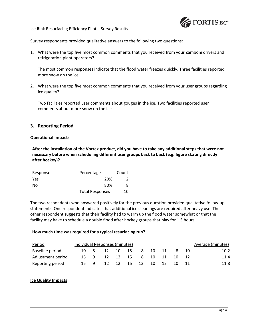Survey respondents provided qualitative answers to the following two questions:

1. What were the top five most common comments that you received from your Zamboni drivers and refrigeration plant operators?

The most common responses indicate that the flood water freezes quickly. Three facilities reported more snow on the ice.

2. What were the top five most common comments that you received from your user groups regarding ice quality?

Two facilities reported user comments about gouges in the ice. Two facilities reported user comments about more snow on the ice.

## **3. Reporting Period**

### **Operational Impacts**

**After the installation of the Vortex product, did you have to take any additional steps that were not necessary before when scheduling different user groups back to back (e.g. figure skating directly after hockey)?** 

| Response   | Percentage             | Count |
|------------|------------------------|-------|
| <b>Yes</b> | 20%                    |       |
| No         | 80%                    |       |
|            | <b>Total Responses</b> | 10    |

The two respondents who answered positively for the previous question provided qualitative follow-up statements. One respondent indicates that additional ice cleanings are required after heavy use. The other respondent suggests that their facility had to warm up the flood water somewhat or that the facility may have to schedule a double flood after hockey groups that play for 1.5 hours.

### **How much time was required for a typical resurfacing run?**

| Period            | Individual Responses (minutes) |    |    |     |    |    |    | Average (minutes) |
|-------------------|--------------------------------|----|----|-----|----|----|----|-------------------|
| Baseline period   |                                | 12 | 10 | -15 | 8  | 10 |    | 10.2              |
| Adjustment period | 15.                            | 12 | 12 | -15 | 8  | 10 | 10 | 11.4              |
| Reporting period  | 15.                            | 12 | 12 | -15 | 12 | 10 | 10 | 11.8              |

## **Ice Quality Impacts**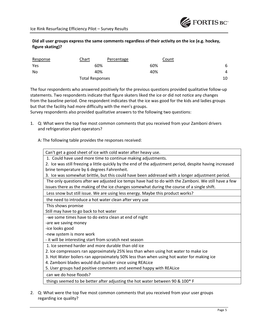

## **Did all user groups express the same comments regardless of their activity on the ice (e.g. hockey, figure skating)?**

| Response | Chart                  | Percentage | Count |
|----------|------------------------|------------|-------|
| Yes      | 60%                    | 60%        | 6     |
| No       | 40%                    | 40%        | 4     |
|          | <b>Total Responses</b> |            | 10    |

The four respondents who answered positively for the previous questions provided qualitative follow-up statements. Two respondents indicate that figure skaters liked the ice or did not notice any changes from the baseline period. One respondent indicates that the ice was good for the kids and ladies groups but that the facility had more difficulty with the men's groups.

Survey respondents also provided qualitative answers to the following two questions:

1. Q: What were the top five most common comments that you received from your Zamboni drivers and refrigeration plant operators?

A: The following table provides the responses received:

| Can't get a good sheet of ice with cold water after heavy use.                                           |
|----------------------------------------------------------------------------------------------------------|
| 1. Could have used more time to continue making adjustments.                                             |
| 2. Ice was still freezing a little quickly by the end of the adjustment period, despite having increased |
| brine temperature by 6 degrees Fahrenheit.                                                               |
| 3. Ice was somewhat brittle, but this could have been addressed with a longer adjustment period.         |
| The only questions after we adjusted ice temps have had to do with the Zamboni. We still have a few      |
| issues there as the making of the ice changes somewhat during the course of a single shift.              |
| Less snow but still issue. We are using less energy. Maybe this product works?                           |
| the need to introduce a hot water clean after very use                                                   |
| This shows promise                                                                                       |
| Still may have to go back to hot water                                                                   |
| -we some times have to do extra clean at end of night                                                    |
| -are we saving money                                                                                     |
| -ice looks good                                                                                          |
| -new system is more work                                                                                 |
| - it will be interesting start from scratch next season                                                  |
| 1. Ice seemed harder and more durable than old ice                                                       |
| 2. Ice compressors ran approximately 25% less than when using hot water to make ice                      |
| 3. Hot Water boilers ran approximately 50% less than when using hot water for making ice                 |
| 4. Zamboni blades would dull quicker since using REALice                                                 |
| 5. User groups had positive comments and seemed happy with REALice                                       |
| can we do hose floods?                                                                                   |
| things seemed to be better after adjusting the hot water between 90 & 100* F                             |
|                                                                                                          |

2. Q: What were the top five most common comments that you received from your user groups regarding ice quality?